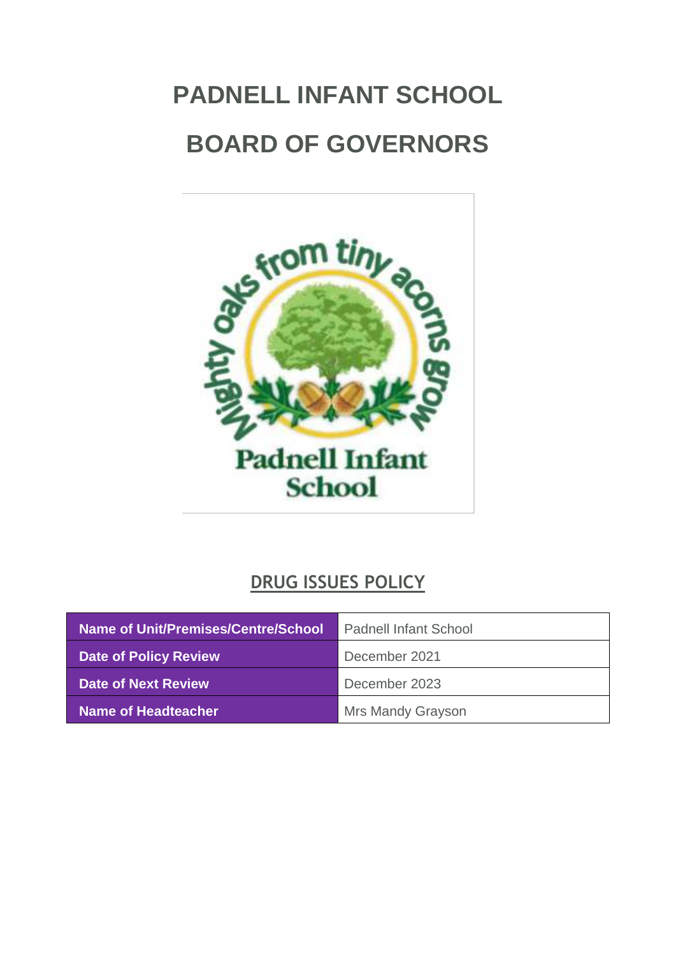# <span id="page-0-0"></span>**PADNELL INFANT SCHOOL BOARD OF GOVERNORS**



# **DRUG ISSUES POLICY**

| Name of Unit/Premises/Centre/School | <b>Padnell Infant School</b> |
|-------------------------------------|------------------------------|
| <b>Date of Policy Review</b>        | December 2021                |
| Date of Next Review                 | December 2023                |
| Name of Headteacher                 | <b>Mrs Mandy Grayson</b>     |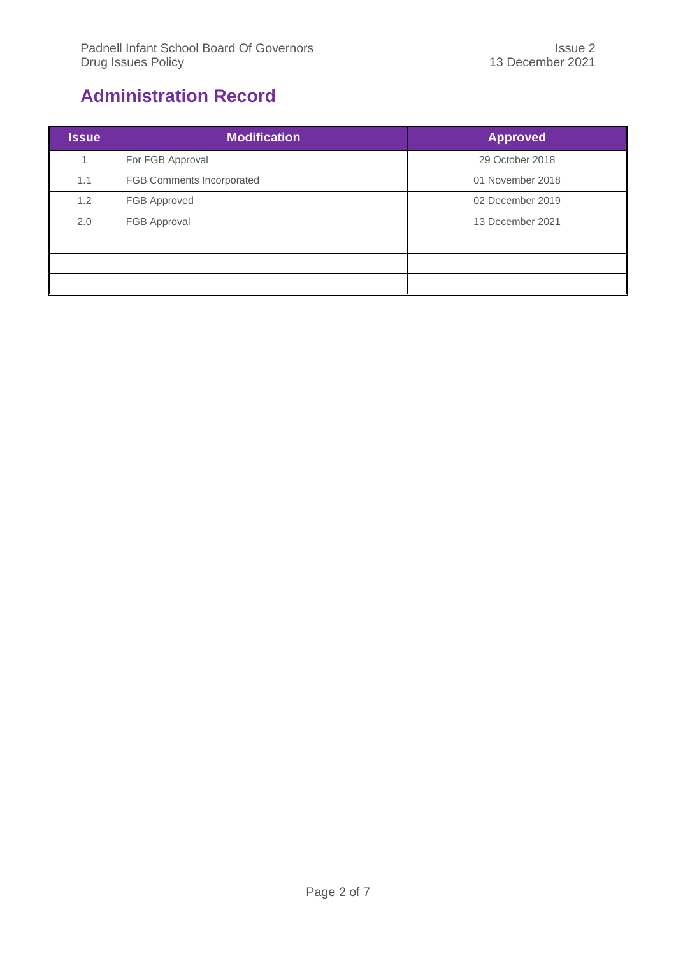## <span id="page-1-0"></span>**Administration Record**

| <b>Issue</b> | <b>Modification</b>       | <b>Approved</b>  |
|--------------|---------------------------|------------------|
| 1            | For FGB Approval          | 29 October 2018  |
| 1.1          | FGB Comments Incorporated | 01 November 2018 |
| 1.2          | FGB Approved              | 02 December 2019 |
| 2.0          | FGB Approval              | 13 December 2021 |
|              |                           |                  |
|              |                           |                  |
|              |                           |                  |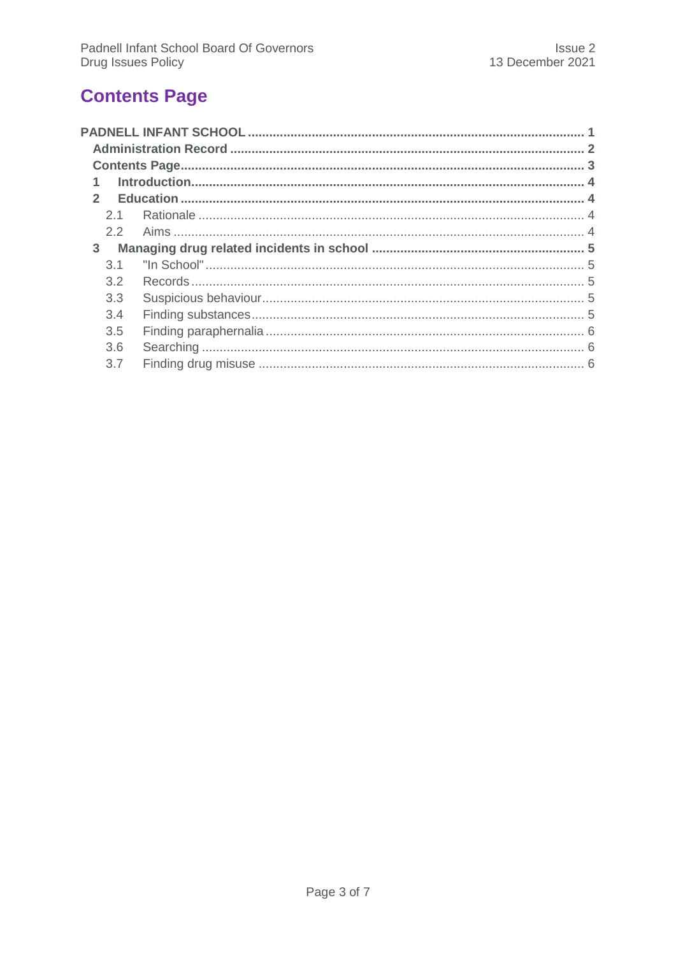# <span id="page-2-0"></span>**Contents Page**

| $\mathfrak{p}$ |     |  |
|----------------|-----|--|
|                | 2.1 |  |
|                | 2.2 |  |
| 3              |     |  |
|                | 3.1 |  |
|                | 3.2 |  |
|                | 3.3 |  |
|                | 3.4 |  |
|                | 3.5 |  |
|                | 3.6 |  |
|                | 3.7 |  |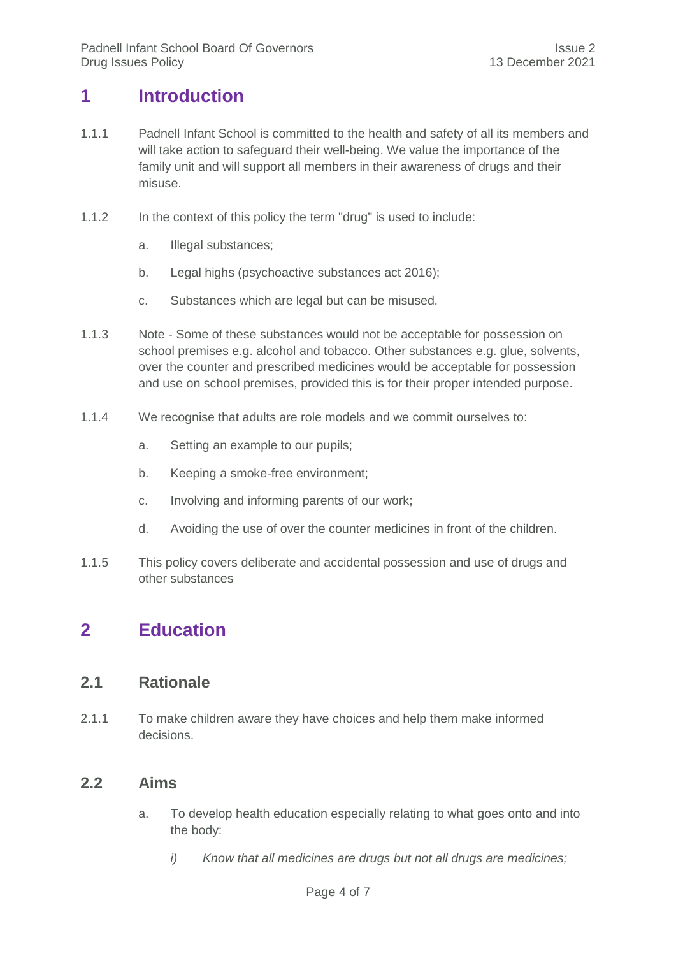## <span id="page-3-0"></span>**1 Introduction**

- 1.1.1 Padnell Infant School is committed to the health and safety of all its members and will take action to safeguard their well-being. We value the importance of the family unit and will support all members in their awareness of drugs and their misuse.
- 1.1.2 In the context of this policy the term "drug" is used to include:
	- a. Illegal substances;
	- b. Legal highs (psychoactive substances act 2016);
	- c. Substances which are legal but can be misused.
- 1.1.3 Note Some of these substances would not be acceptable for possession on school premises e.g. alcohol and tobacco. Other substances e.g. glue, solvents, over the counter and prescribed medicines would be acceptable for possession and use on school premises, provided this is for their proper intended purpose.
- 1.1.4 We recognise that adults are role models and we commit ourselves to:
	- a. Setting an example to our pupils;
	- b. Keeping a smoke-free environment;
	- c. Involving and informing parents of our work;
	- d. Avoiding the use of over the counter medicines in front of the children.
- 1.1.5 This policy covers deliberate and accidental possession and use of drugs and other substances

## <span id="page-3-2"></span><span id="page-3-1"></span>**2 Education**

## **2.1 Rationale**

2.1.1 To make children aware they have choices and help them make informed decisions.

### <span id="page-3-3"></span>**2.2 Aims**

- a. To develop health education especially relating to what goes onto and into the body:
	- *i) Know that all medicines are drugs but not all drugs are medicines;*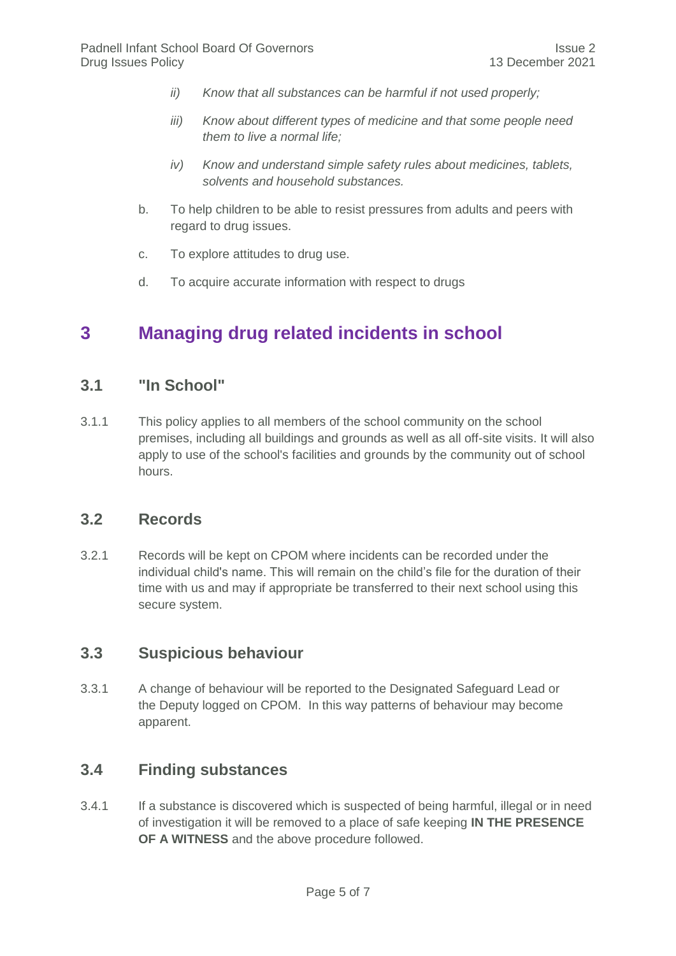- *ii) Know that all substances can be harmful if not used properly;*
- *iii) Know about different types of medicine and that some people need them to live a normal life;*
- *iv) Know and understand simple safety rules about medicines, tablets, solvents and household substances.*
- b. To help children to be able to resist pressures from adults and peers with regard to drug issues.
- c. To explore attitudes to drug use.
- d. To acquire accurate information with respect to drugs

## <span id="page-4-1"></span><span id="page-4-0"></span>**3 Managing drug related incidents in school**

### **3.1 "In School"**

3.1.1 This policy applies to all members of the school community on the school premises, including all buildings and grounds as well as all off-site visits. It will also apply to use of the school's facilities and grounds by the community out of school hours.

## <span id="page-4-2"></span>**3.2 Records**

3.2.1 Records will be kept on CPOM where incidents can be recorded under the individual child's name. This will remain on the child's file for the duration of their time with us and may if appropriate be transferred to their next school using this secure system.

## <span id="page-4-3"></span>**3.3 Suspicious behaviour**

3.3.1 A change of behaviour will be reported to the Designated Safeguard Lead or the Deputy logged on CPOM. In this way patterns of behaviour may become apparent.

## <span id="page-4-4"></span>**3.4 Finding substances**

3.4.1 If a substance is discovered which is suspected of being harmful, illegal or in need of investigation it will be removed to a place of safe keeping **IN THE PRESENCE OF A WITNESS** and the above procedure followed.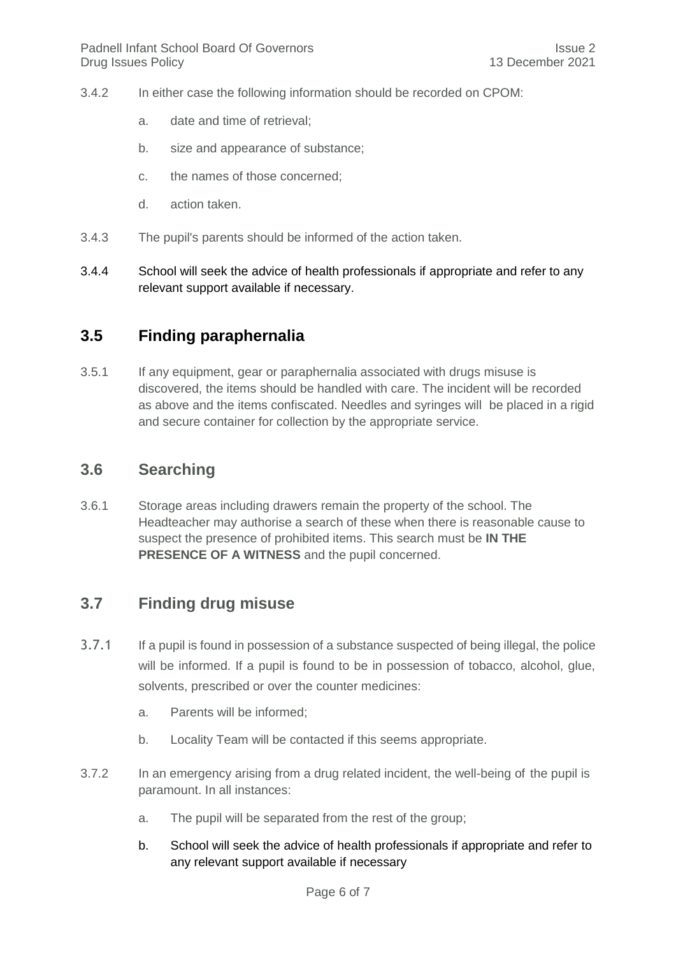- 3.4.2 In either case the following information should be recorded on CPOM:
	- a. date and time of retrieval;
	- b. size and appearance of substance;
	- c. the names of those concerned;
	- d. action taken.
- 3.4.3 The pupil's parents should be informed of the action taken.
- 3.4.4 School will seek the advice of health professionals if appropriate and refer to any relevant support available if necessary.

### <span id="page-5-0"></span>**3.5 Finding paraphernalia**

3.5.1 If any equipment, gear or paraphernalia associated with drugs misuse is discovered, the items should be handled with care. The incident will be recorded as above and the items confiscated. Needles and syringes will be placed in a rigid and secure container for collection by the appropriate service.

## <span id="page-5-1"></span>**3.6 Searching**

3.6.1 Storage areas including drawers remain the property of the school. The Headteacher may authorise a search of these when there is reasonable cause to suspect the presence of prohibited items. This search must be **IN THE PRESENCE OF A WITNESS** and the pupil concerned.

### <span id="page-5-2"></span>**3.7 Finding drug misuse**

- 3.7.1 If a pupil is found in possession of a substance suspected of being illegal, the police will be informed. If a pupil is found to be in possession of tobacco, alcohol, glue, solvents, prescribed or over the counter medicines:
	- a. Parents will be informed;
	- b. Locality Team will be contacted if this seems appropriate.
- 3.7.2 In an emergency arising from a drug related incident, the well-being of the pupil is paramount. In all instances:
	- a. The pupil will be separated from the rest of the group;
	- b. School will seek the advice of health professionals if appropriate and refer to any relevant support available if necessary